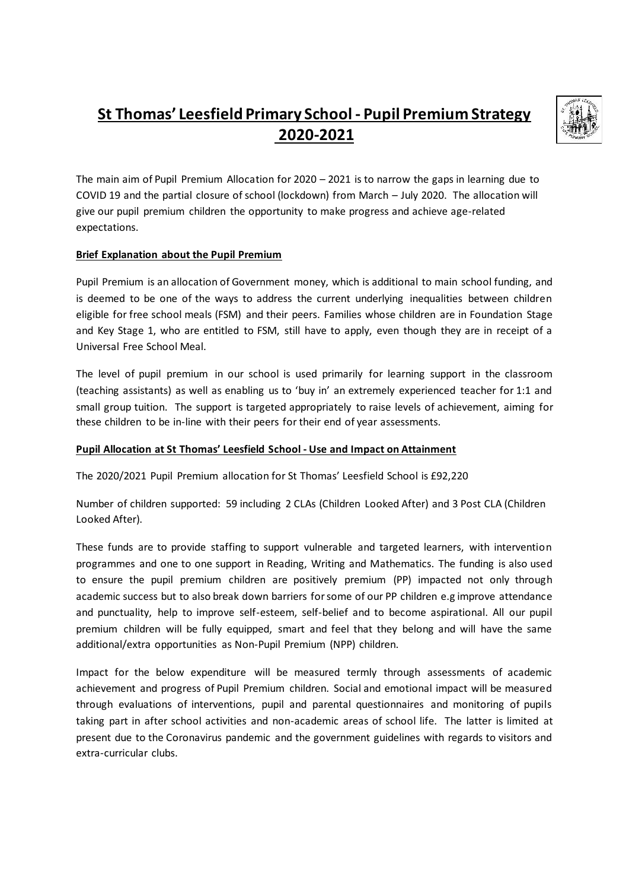## **St Thomas' Leesfield Primary School - Pupil Premium Strategy 2020-2021**



The main aim of Pupil Premium Allocation for 2020 – 2021 is to narrow the gaps in learning due to COVID 19 and the partial closure of school (lockdown) from March – July 2020. The allocation will give our pupil premium children the opportunity to make progress and achieve age-related expectations.

## **Brief Explanation about the Pupil Premium**

Pupil Premium is an allocation of Government money, which is additional to main school funding, and is deemed to be one of the ways to address the current underlying inequalities between children eligible for free school meals (FSM) and their peers. Families whose children are in Foundation Stage and Key Stage 1, who are entitled to FSM, still have to apply, even though they are in receipt of a Universal Free School Meal.

The level of pupil premium in our school is used primarily for learning support in the classroom (teaching assistants) as well as enabling us to 'buy in' an extremely experienced teacher for 1:1 and small group tuition. The support is targeted appropriately to raise levels of achievement, aiming for these children to be in-line with their peers for their end of year assessments.

## **Pupil Allocation at St Thomas' Leesfield School - Use and Impact on Attainment**

The 2020/2021 Pupil Premium allocation for St Thomas' Leesfield School is £92,220

Number of children supported: 59 including 2 CLAs (Children Looked After) and 3 Post CLA (Children Looked After).

These funds are to provide staffing to support vulnerable and targeted learners, with intervention programmes and one to one support in Reading, Writing and Mathematics. The funding is also used to ensure the pupil premium children are positively premium (PP) impacted not only through academic success but to also break down barriers for some of our PP children e.g improve attendance and punctuality, help to improve self-esteem, self-belief and to become aspirational. All our pupil premium children will be fully equipped, smart and feel that they belong and will have the same additional/extra opportunities as Non-Pupil Premium (NPP) children.

Impact for the below expenditure will be measured termly through assessments of academic achievement and progress of Pupil Premium children. Social and emotional impact will be measured through evaluations of interventions, pupil and parental questionnaires and monitoring of pupils taking part in after school activities and non-academic areas of school life. The latter is limited at present due to the Coronavirus pandemic and the government guidelines with regards to visitors and extra-curricular clubs.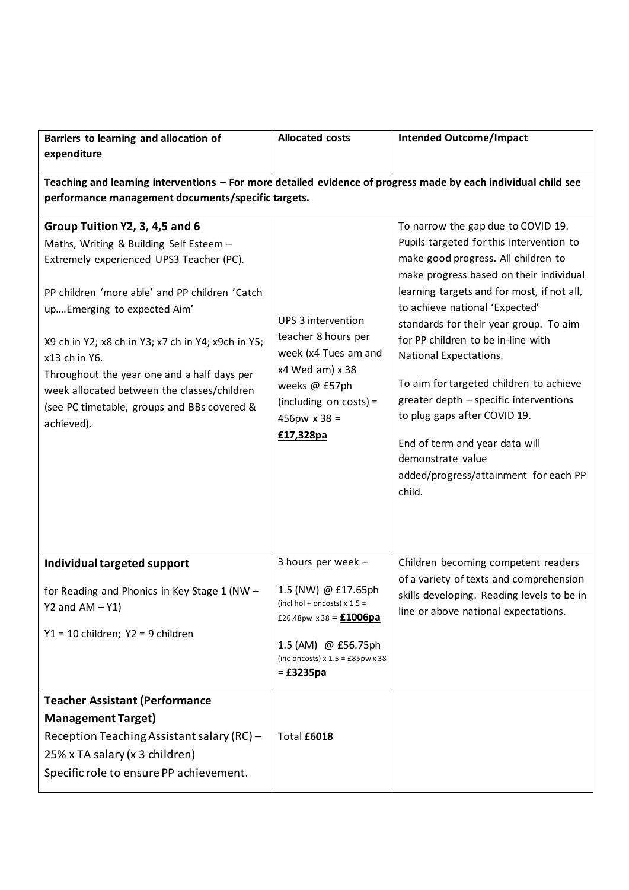| Barriers to learning and allocation of<br>expenditure                                                                                                                                                                                                                                                                                                                                                                                     | <b>Allocated costs</b>                                                                                                                                                                                                | <b>Intended Outcome/Impact</b>                                                                                                                                                                                                                                                                                                                                                                                                                                                                                                                                                            |  |  |  |
|-------------------------------------------------------------------------------------------------------------------------------------------------------------------------------------------------------------------------------------------------------------------------------------------------------------------------------------------------------------------------------------------------------------------------------------------|-----------------------------------------------------------------------------------------------------------------------------------------------------------------------------------------------------------------------|-------------------------------------------------------------------------------------------------------------------------------------------------------------------------------------------------------------------------------------------------------------------------------------------------------------------------------------------------------------------------------------------------------------------------------------------------------------------------------------------------------------------------------------------------------------------------------------------|--|--|--|
| Teaching and learning interventions - For more detailed evidence of progress made by each individual child see<br>performance management documents/specific targets.                                                                                                                                                                                                                                                                      |                                                                                                                                                                                                                       |                                                                                                                                                                                                                                                                                                                                                                                                                                                                                                                                                                                           |  |  |  |
| Group Tuition Y2, 3, 4,5 and 6<br>Maths, Writing & Building Self Esteem -<br>Extremely experienced UPS3 Teacher (PC).<br>PP children 'more able' and PP children 'Catch<br>up Emerging to expected Aim'<br>X9 ch in Y2; x8 ch in Y3; x7 ch in Y4; x9ch in Y5;<br>x13 ch in Y6.<br>Throughout the year one and a half days per<br>week allocated between the classes/children<br>(see PC timetable, groups and BBs covered &<br>achieved). | UPS 3 intervention<br>teacher 8 hours per<br>week (x4 Tues am and<br>x4 Wed am) x 38<br>weeks @ £57ph<br>$(including on costs) =$<br>$456px \times 38 =$<br>£17,328pa                                                 | To narrow the gap due to COVID 19.<br>Pupils targeted for this intervention to<br>make good progress. All children to<br>make progress based on their individual<br>learning targets and for most, if not all,<br>to achieve national 'Expected'<br>standards for their year group. To aim<br>for PP children to be in-line with<br>National Expectations.<br>To aim for targeted children to achieve<br>greater depth - specific interventions<br>to plug gaps after COVID 19.<br>End of term and year data will<br>demonstrate value<br>added/progress/attainment for each PP<br>child. |  |  |  |
| Individual targeted support<br>for Reading and Phonics in Key Stage 1 (NW -<br>$Y2$ and $AM - Y1$ )<br>Y1 = 10 children; Y2 = 9 children                                                                                                                                                                                                                                                                                                  | 3 hours per week -<br>1.5 (NW) @ £17.65ph<br>(incl hol + oncosts) $x 1.5 =$<br>£26.48pw $x38 = £1006pa$<br>1.5 (AM) @ £56.75ph<br>(inc oncosts) $x 1.5 = £85pw \times 38$<br>$=\underline{\textbf{f}}3235\textbf{pa}$ | Children becoming competent readers<br>of a variety of texts and comprehension<br>skills developing. Reading levels to be in<br>line or above national expectations.                                                                                                                                                                                                                                                                                                                                                                                                                      |  |  |  |
| <b>Teacher Assistant (Performance</b><br><b>Management Target)</b><br>Reception Teaching Assistant salary (RC) -<br>25% x TA salary (x 3 children)<br>Specific role to ensure PP achievement.                                                                                                                                                                                                                                             | Total £6018                                                                                                                                                                                                           |                                                                                                                                                                                                                                                                                                                                                                                                                                                                                                                                                                                           |  |  |  |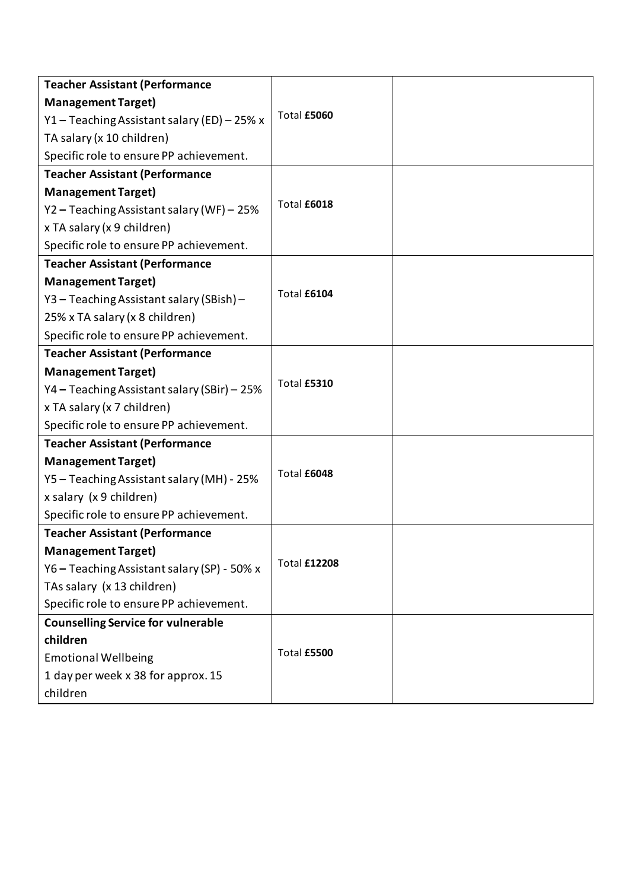| <b>Teacher Assistant (Performance</b>       |                     |  |
|---------------------------------------------|---------------------|--|
| <b>Management Target)</b>                   |                     |  |
| Y1 - Teaching Assistant salary (ED) - 25% x | Total £5060         |  |
| TA salary (x 10 children)                   |                     |  |
| Specific role to ensure PP achievement.     |                     |  |
| <b>Teacher Assistant (Performance</b>       |                     |  |
| <b>Management Target)</b>                   |                     |  |
| Y2 - Teaching Assistant salary (WF) - 25%   | Total £6018         |  |
| x TA salary (x 9 children)                  |                     |  |
| Specific role to ensure PP achievement.     |                     |  |
| <b>Teacher Assistant (Performance</b>       |                     |  |
| <b>Management Target)</b>                   |                     |  |
| Y3 - Teaching Assistant salary (SBish) -    | Total £6104         |  |
| 25% x TA salary (x 8 children)              |                     |  |
| Specific role to ensure PP achievement.     |                     |  |
| <b>Teacher Assistant (Performance</b>       |                     |  |
| <b>Management Target)</b>                   |                     |  |
| Y4 - Teaching Assistant salary (SBir) - 25% | Total £5310         |  |
| x TA salary (x 7 children)                  |                     |  |
| Specific role to ensure PP achievement.     |                     |  |
| <b>Teacher Assistant (Performance</b>       |                     |  |
| <b>Management Target)</b>                   |                     |  |
| Y5 - Teaching Assistant salary (MH) - 25%   | Total £6048         |  |
| x salary (x 9 children)                     |                     |  |
| Specific role to ensure PP achievement.     |                     |  |
| <b>Teacher Assistant (Performance</b>       |                     |  |
| <b>Management Target)</b>                   |                     |  |
| Y6 - Teaching Assistant salary (SP) - 50% x | <b>Total £12208</b> |  |
| TAs salary (x 13 children)                  |                     |  |
| Specific role to ensure PP achievement.     |                     |  |
| <b>Counselling Service for vulnerable</b>   |                     |  |
| children                                    |                     |  |
| <b>Emotional Wellbeing</b>                  | Total £5500         |  |
| 1 day per week x 38 for approx. 15          |                     |  |
| children                                    |                     |  |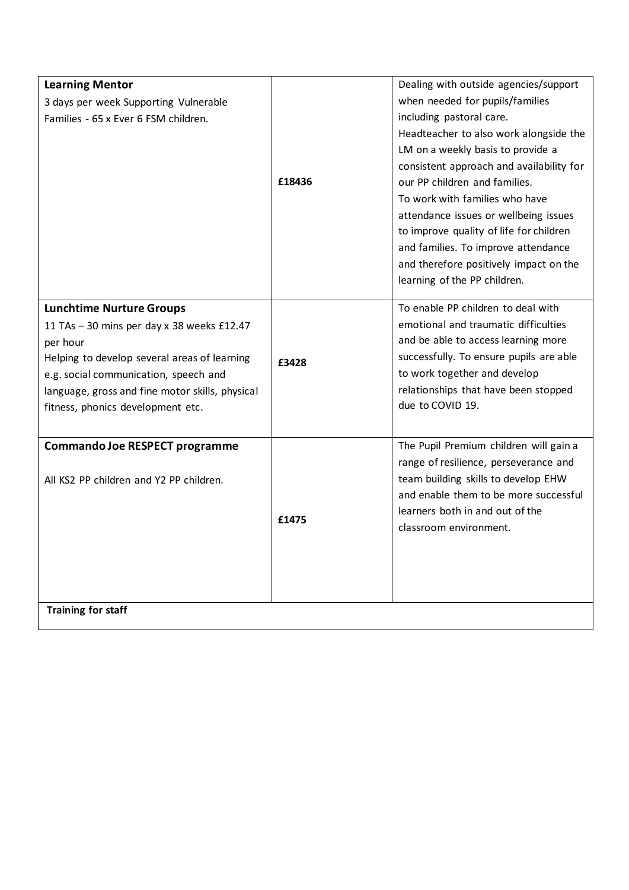| <b>Learning Mentor</b>                          |        | Dealing with outside agencies/support                    |
|-------------------------------------------------|--------|----------------------------------------------------------|
| 3 days per week Supporting Vulnerable           |        | when needed for pupils/families                          |
| Families - 65 x Ever 6 FSM children.            |        | including pastoral care.                                 |
|                                                 |        | Headteacher to also work alongside the                   |
|                                                 |        | LM on a weekly basis to provide a                        |
|                                                 |        | consistent approach and availability for                 |
|                                                 | £18436 | our PP children and families.                            |
|                                                 |        | To work with families who have                           |
|                                                 |        | attendance issues or wellbeing issues                    |
|                                                 |        | to improve quality of life for children                  |
|                                                 |        | and families. To improve attendance                      |
|                                                 |        | and therefore positively impact on the                   |
|                                                 |        | learning of the PP children.                             |
|                                                 |        | To enable PP children to deal with                       |
| <b>Lunchtime Nurture Groups</b>                 |        |                                                          |
| 11 TAs - 30 mins per day x 38 weeks £12.47      |        | emotional and traumatic difficulties                     |
| per hour                                        |        | and be able to access learning more                      |
| Helping to develop several areas of learning    | £3428  | successfully. To ensure pupils are able                  |
| e.g. social communication, speech and           |        | to work together and develop                             |
| language, gross and fine motor skills, physical |        | relationships that have been stopped<br>due to COVID 19. |
| fitness, phonics development etc.               |        |                                                          |
|                                                 |        |                                                          |
| Commando Joe RESPECT programme                  |        | The Pupil Premium children will gain a                   |
|                                                 |        | range of resilience, perseverance and                    |
| All KS2 PP children and Y2 PP children.         |        | team building skills to develop EHW                      |
|                                                 |        | and enable them to be more successful                    |
|                                                 | £1475  | learners both in and out of the                          |
|                                                 |        | classroom environment.                                   |
|                                                 |        |                                                          |
|                                                 |        |                                                          |
|                                                 |        |                                                          |
|                                                 |        |                                                          |
| <b>Training for staff</b>                       |        |                                                          |

I